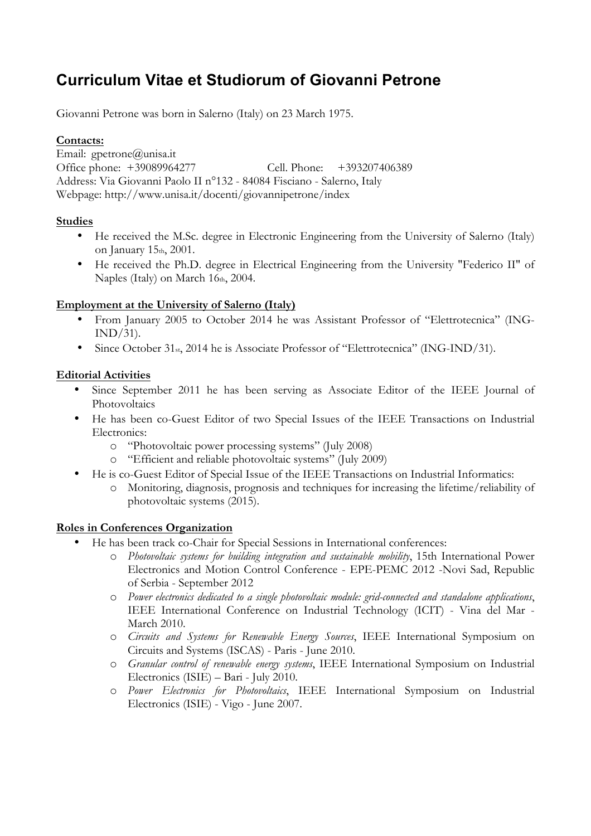# **Curriculum Vitae et Studiorum of Giovanni Petrone**

Giovanni Petrone was born in Salerno (Italy) on 23 March 1975.

## **Contacts:**

Email: gpetrone@unisa.it Office phone: +39089964277 Cell. Phone: +393207406389 Address: Via Giovanni Paolo II n°132 - 84084 Fisciano - Salerno, Italy Webpage: http://www.unisa.it/docenti/giovannipetrone/index

## **Studies**

- He received the M.Sc. degree in Electronic Engineering from the University of Salerno (Italy) on January 15th, 2001.
- He received the Ph.D. degree in Electrical Engineering from the University "Federico II" of Naples (Italy) on March 16th, 2004.

## **Employment at the University of Salerno (Italy)**

- From January 2005 to October 2014 he was Assistant Professor of "Elettrotecnica" (ING- $IND/31$ ).
- Since October 31<sub>st</sub>, 2014 he is Associate Professor of "Elettrotecnica" (ING-IND/31).

# **Editorial Activities**

- Since September 2011 he has been serving as Associate Editor of the IEEE Journal of Photovoltaics
- He has been co-Guest Editor of two Special Issues of the IEEE Transactions on Industrial Electronics:
	- o "Photovoltaic power processing systems" (July 2008)
	- o "Efficient and reliable photovoltaic systems" (July 2009)
- He is co-Guest Editor of Special Issue of the IEEE Transactions on Industrial Informatics:
	- o Monitoring, diagnosis, prognosis and techniques for increasing the lifetime/reliability of photovoltaic systems (2015).

# **Roles in Conferences Organization**

- He has been track co-Chair for Special Sessions in International conferences:
	- o *Photovoltaic systems for building integration and sustainable mobility*, 15th International Power Electronics and Motion Control Conference - EPE-PEMC 2012 -Novi Sad, Republic of Serbia - September 2012
	- o *Power electronics dedicated to a single photovoltaic module: grid-connected and standalone applications*, IEEE International Conference on Industrial Technology (ICIT) - Vina del Mar - March 2010.
	- o *Circuits and Systems for Renewable Energy Sources*, IEEE International Symposium on Circuits and Systems (ISCAS) - Paris - June 2010.
	- o *Granular control of renewable energy systems*, IEEE International Symposium on Industrial Electronics (ISIE) – Bari - July 2010.
	- o *Power Electronics for Photovoltaics*, IEEE International Symposium on Industrial Electronics (ISIE) - Vigo - June 2007.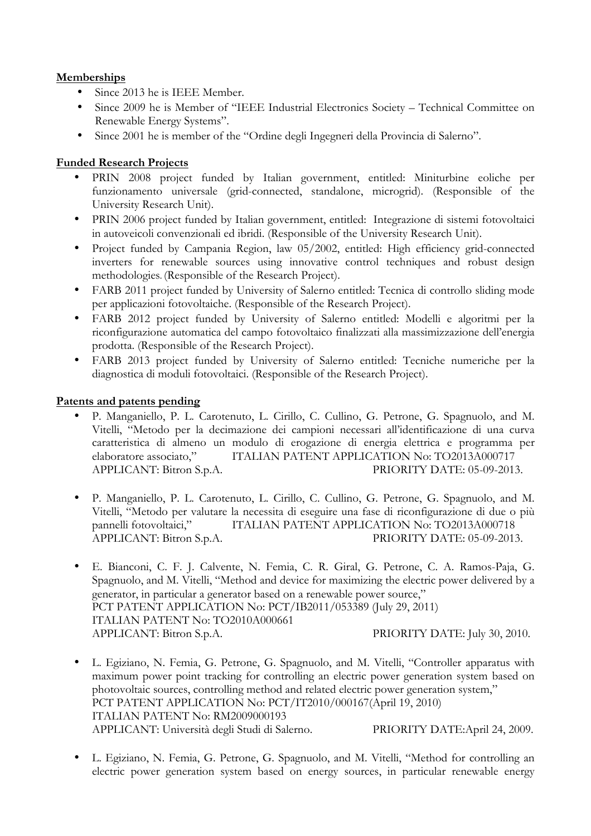# **Memberships**

- Since 2013 he is IEEE Member.
- Since 2009 he is Member of "IEEE Industrial Electronics Society Technical Committee on Renewable Energy Systems".
- Since 2001 he is member of the "Ordine degli Ingegneri della Provincia di Salerno".

#### **Funded Research Projects**

- PRIN 2008 project funded by Italian government, entitled: Miniturbine eoliche per funzionamento universale (grid-connected, standalone, microgrid). (Responsible of the University Research Unit).
- PRIN 2006 project funded by Italian government, entitled: Integrazione di sistemi fotovoltaici in autoveicoli convenzionali ed ibridi. (Responsible of the University Research Unit).
- Project funded by Campania Region, law 05/2002, entitled: High efficiency grid-connected inverters for renewable sources using innovative control techniques and robust design methodologies. (Responsible of the Research Project).
- FARB 2011 project funded by University of Salerno entitled: Tecnica di controllo sliding mode per applicazioni fotovoltaiche. (Responsible of the Research Project).
- FARB 2012 project funded by University of Salerno entitled: Modelli e algoritmi per la riconfigurazione automatica del campo fotovoltaico finalizzati alla massimizzazione dell'energia prodotta. (Responsible of the Research Project).
- FARB 2013 project funded by University of Salerno entitled: Tecniche numeriche per la diagnostica di moduli fotovoltaici. (Responsible of the Research Project).

#### **Patents and patents pending**

- P. Manganiello, P. L. Carotenuto, L. Cirillo, C. Cullino, G. Petrone, G. Spagnuolo, and M. Vitelli, "Metodo per la decimazione dei campioni necessari all'identificazione di una curva caratteristica di almeno un modulo di erogazione di energia elettrica e programma per elaboratore associato," ITALIAN PATENT APPLICATION No: TO2013A000717 APPLICANT: Bitron S.p.A. PRIORITY DATE: 05-09-2013.
- P. Manganiello, P. L. Carotenuto, L. Cirillo, C. Cullino, G. Petrone, G. Spagnuolo, and M. Vitelli, "Metodo per valutare la necessita di eseguire una fase di riconfigurazione di due o più pannelli fotovoltaici," ITALIAN PATENT APPLICATION No: TO2013A000718 APPLICANT: Bitron S.p.A. PRIORITY DATE: 05-09-2013.
- E. Bianconi, C. F. J. Calvente, N. Femia, C. R. Giral, G. Petrone, C. A. Ramos-Paja, G. Spagnuolo, and M. Vitelli, "Method and device for maximizing the electric power delivered by a generator, in particular a generator based on a renewable power source," PCT PATENT APPLICATION No: PCT/IB2011/053389 (July 29, 2011) ITALIAN PATENT No: TO2010A000661 APPLICANT: Bitron S.p.A. PRIORITY DATE: July 30, 2010.
- L. Egiziano, N. Femia, G. Petrone, G. Spagnuolo, and M. Vitelli, "Controller apparatus with maximum power point tracking for controlling an electric power generation system based on photovoltaic sources, controlling method and related electric power generation system," PCT PATENT APPLICATION No: PCT/IT2010/000167(April 19, 2010) ITALIAN PATENT No: RM2009000193 APPLICANT: Università degli Studi di Salerno. PRIORITY DATE:April 24, 2009.
- L. Egiziano, N. Femia, G. Petrone, G. Spagnuolo, and M. Vitelli, "Method for controlling an electric power generation system based on energy sources, in particular renewable energy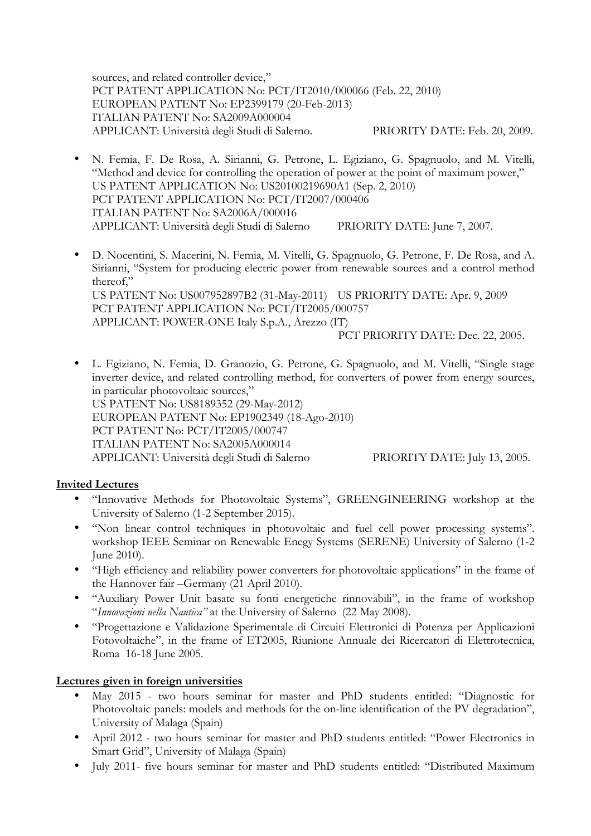sources, and related controller device," PCT PATENT APPLICATION No: PCT/IT2010/000066 (Feb. 22, 2010) EUROPEAN PATENT No: EP2399179 (20-Feb-2013) ITALIAN PATENT No: SA2009A000004 APPLICANT: Università degli Studi di Salerno. PRIORITY DATE: Feb. 20, 2009.

- N. Femia, F. De Rosa, A. Sirianni, G. Petrone, L. Egiziano, G. Spagnuolo, and M. Vitelli, "Method and device for controlling the operation of power at the point of maximum power," US PATENT APPLICATION No: US20100219690A1 (Sep. 2, 2010) PCT PATENT APPLICATION No: PCT/IT2007/000406 ITALIAN PATENT No: SA2006A/000016 APPLICANT: Università degli Studi di Salerno PRIORITY DATE: June 7, 2007.
- D. Nocentini, S. Macerini, N. Femia, M. Vitelli, G. Spagnuolo, G. Petrone, F. De Rosa, and A. Sirianni, "System for producing electric power from renewable sources and a control method thereof," US PATENT No: US007952897B2 (31-May-2011) US PRIORITY DATE: Apr. 9, 2009 PCT PATENT APPLICATION No: PCT/IT2005/000757 APPLICANT: POWER-ONE Italy S.p.A., Arezzo (IT) PCT PRIORITY DATE: Dec. 22, 2005.
- L. Egiziano, N. Femia, D. Granozio, G. Petrone, G. Spagnuolo, and M. Vitelli, "Single stage inverter device, and related controlling method, for converters of power from energy sources, in particular photovoltaic sources," US PATENT No: US8189352 (29-May-2012) EUROPEAN PATENT No: EP1902349 (18-Ago-2010) PCT PATENT No: PCT/IT2005/000747 ITALIAN PATENT No: SA2005A000014 APPLICANT: Università degli Studi di Salerno PRIORITY DATE: July 13, 2005.

# **Invited Lectures**

- "Innovative Methods for Photovoltaic Systems", GREENGINEERING workshop at the University of Salerno (1-2 September 2015).
- "Non linear control techniques in photovoltaic and fuel cell power processing systems". workshop IEEE Seminar on Renewable Enegy Systems (SERENE) University of Salerno (1-2 June 2010).
- "High efficiency and reliability power converters for photovoltaic applications" in the frame of the Hannover fair –Germany (21 April 2010).
- "Auxiliary Power Unit basate su fonti energetiche rinnovabili", in the frame of workshop "*Innovazioni nella Nautica"* at the University of Salerno (22 May 2008).
- "Progettazione e Validazione Sperimentale di Circuiti Elettronici di Potenza per Applicazioni Fotovoltaiche", in the frame of ET2005, Riunione Annuale dei Ricercatori di Elettrotecnica, Roma 16-18 June 2005.

# **Lectures given in foreign universities**

- May 2015 two hours seminar for master and PhD students entitled: "Diagnostic for Photovoltaic panels: models and methods for the on-line identification of the PV degradation", University of Malaga (Spain)
- April 2012 two hours seminar for master and PhD students entitled: "Power Electronics in Smart Grid", University of Malaga (Spain)
- July 2011- five hours seminar for master and PhD students entitled: "Distributed Maximum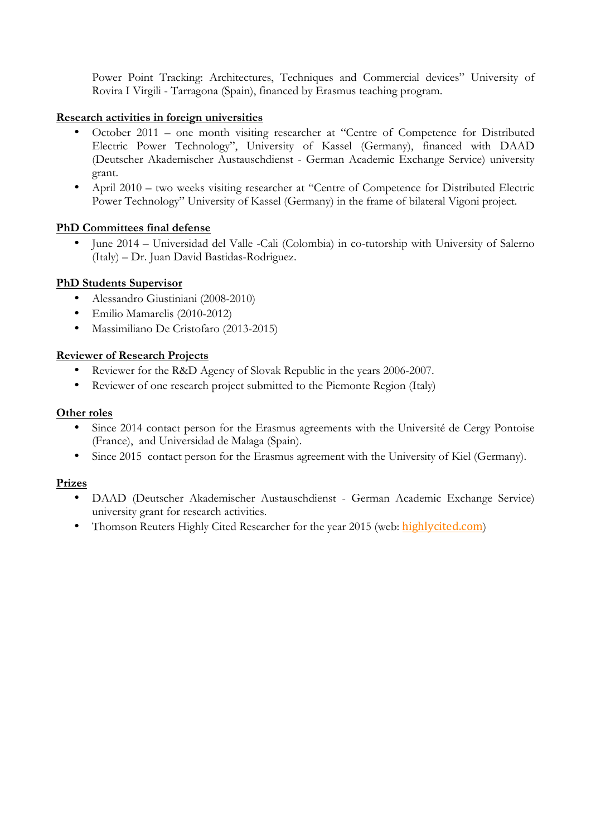Power Point Tracking: Architectures, Techniques and Commercial devices" University of Rovira I Virgili - Tarragona (Spain), financed by Erasmus teaching program.

## **Research activities in foreign universities**

- October 2011 one month visiting researcher at "Centre of Competence for Distributed Electric Power Technology", University of Kassel (Germany), financed with DAAD (Deutscher Akademischer Austauschdienst - German Academic Exchange Service) university grant.
- April 2010 two weeks visiting researcher at "Centre of Competence for Distributed Electric Power Technology" University of Kassel (Germany) in the frame of bilateral Vigoni project.

## **PhD Committees final defense**

• June 2014 – Universidad del Valle -Cali (Colombia) in co-tutorship with University of Salerno (Italy) – Dr. Juan David Bastidas-Rodriguez.

## **PhD Students Supervisor**

- Alessandro Giustiniani (2008-2010)
- Emilio Mamarelis (2010-2012)
- Massimiliano De Cristofaro (2013-2015)

## **Reviewer of Research Projects**

- Reviewer for the R&D Agency of Slovak Republic in the years 2006-2007.
- Reviewer of one research project submitted to the Piemonte Region (Italy)

#### **Other roles**

- Since 2014 contact person for the Erasmus agreements with the Université de Cergy Pontoise (France), and Universidad de Malaga (Spain).
- Since 2015 contact person for the Erasmus agreement with the University of Kiel (Germany).

#### **Prizes**

- DAAD (Deutscher Akademischer Austauschdienst German Academic Exchange Service) university grant for research activities.
- Thomson Reuters Highly Cited Researcher for the year 2015 (web: highlycited.com)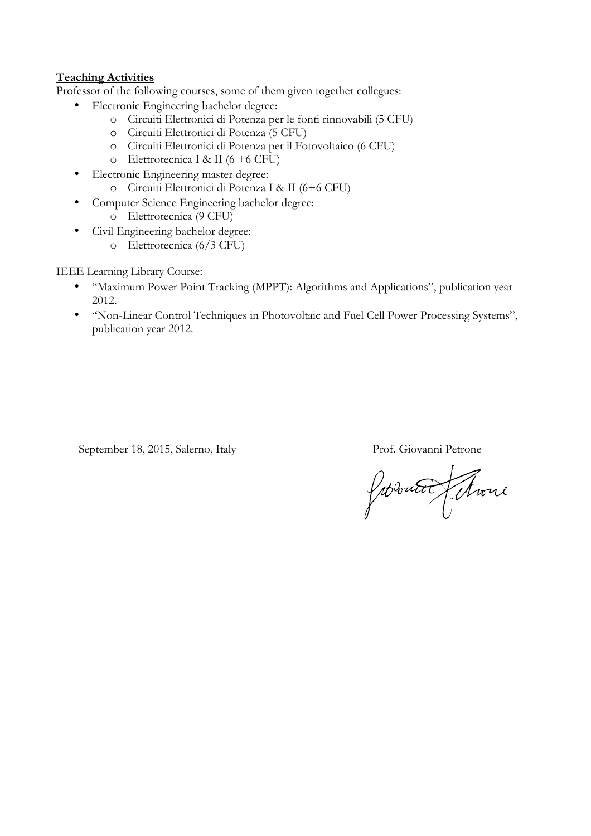# **Teaching Activities**

Professor of the following courses, some of them given together collegues:

- Electronic Engineering bachelor degree:
	- o Circuiti Elettronici di Potenza per le fonti rinnovabili (5 CFU)
	- o Circuiti Elettronici di Potenza (5 CFU)
	- o Circuiti Elettronici di Potenza per il Fotovoltaico (6 CFU)
	- o Elettrotecnica I & II (6 +6 CFU)
- Electronic Engineering master degree:
	- o Circuiti Elettronici di Potenza I & II (6+6 CFU)
- Computer Science Engineering bachelor degree:
	- o Elettrotecnica (9 CFU)
- Civil Engineering bachelor degree:
	- o Elettrotecnica (6/3 CFU)

IEEE Learning Library Course:

- "Maximum Power Point Tracking (MPPT): Algorithms and Applications", publication year 2012.
- "Non-Linear Control Techniques in Photovoltaic and Fuel Cell Power Processing Systems", publication year 2012.

September 18, 2015, Salerno, Italy Prof. Giovanni Petrone

Jacques Thour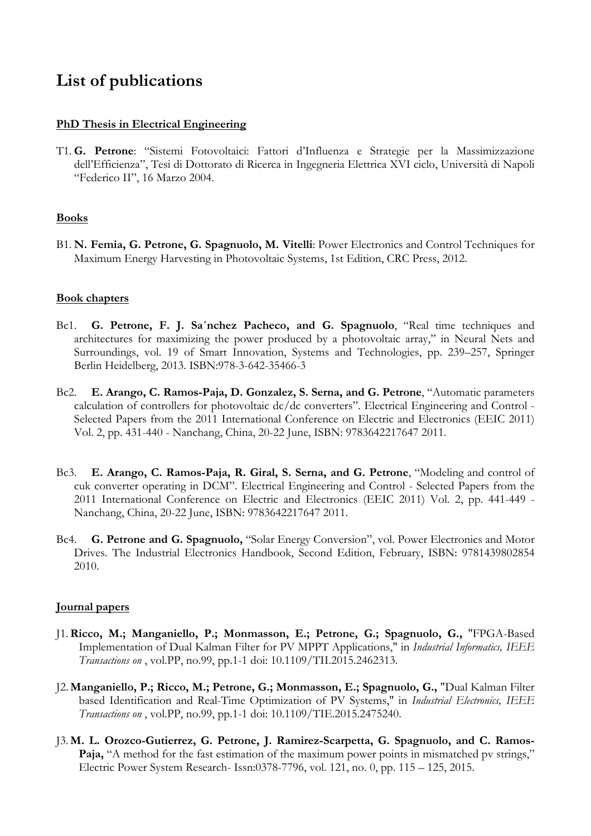# **List of publications**

#### **PhD Thesis in Electrical Engineering**

T1. **G. Petrone**: "Sistemi Fotovoltaici: Fattori d'Influenza e Strategie per la Massimizzazione dell'Efficienza", Tesi di Dottorato di Ricerca in Ingegneria Elettrica XVI ciclo, Università di Napoli "Federico II", 16 Marzo 2004.

## **Books**

B1. **N. Femia, G. Petrone, G. Spagnuolo, M. Vitelli**: Power Electronics and Control Techniques for Maximum Energy Harvesting in Photovoltaic Systems, 1st Edition, CRC Press, 2012.

#### **Book chapters**

- Bc1. **G. Petrone, F. J. Sa´nchez Pacheco, and G. Spagnuolo**, "Real time techniques and architectures for maximizing the power produced by a photovoltaic array," in Neural Nets and Surroundings, vol. 19 of Smart Innovation, Systems and Technologies, pp. 239–257, Springer Berlin Heidelberg, 2013. ISBN:978-3-642-35466-3
- Bc2. **E. Arango, C. Ramos-Paja, D. Gonzalez, S. Serna, and G. Petrone**, "Automatic parameters calculation of controllers for photovoltaic dc/dc converters". Electrical Engineering and Control - Selected Papers from the 2011 International Conference on Electric and Electronics (EEIC 2011) Vol. 2, pp. 431-440 - Nanchang, China, 20-22 June, ISBN: 9783642217647 2011.
- Bc3. **E. Arango, C. Ramos-Paja, R. Giral, S. Serna, and G. Petrone**, "Modeling and control of cuk converter operating in DCM". Electrical Engineering and Control - Selected Papers from the 2011 International Conference on Electric and Electronics (EEIC 2011) Vol. 2, pp. 441-449 - Nanchang, China, 20-22 June, ISBN: 9783642217647 2011.
- Bc4. **G. Petrone and G. Spagnuolo,** "Solar Energy Conversion", vol. Power Electronics and Motor Drives. The Industrial Electronics Handbook, Second Edition, February, ISBN: 9781439802854 2010.

#### **Journal papers**

- J1.**Ricco, M.; Manganiello, P.; Monmasson, E.; Petrone, G.; Spagnuolo, G.,** "FPGA-Based Implementation of Dual Kalman Filter for PV MPPT Applications," in *Industrial Informatics, IEEE Transactions on* , vol.PP, no.99, pp.1-1 doi: 10.1109/TII.2015.2462313.
- J2. **Manganiello, P.; Ricco, M.; Petrone, G.; Monmasson, E.; Spagnuolo, G.,** "Dual Kalman Filter based Identification and Real-Time Optimization of PV Systems," in *Industrial Electronics, IEEE Transactions on* , vol.PP, no.99, pp.1-1 doi: 10.1109/TIE.2015.2475240.
- J3. **M. L. Orozco-Gutierrez, G. Petrone, J. Ramirez-Scarpetta, G. Spagnuolo, and C. Ramos-Paja,** "A method for the fast estimation of the maximum power points in mismatched pv strings," Electric Power System Research- Issn:0378-7796, vol. 121, no. 0, pp. 115 – 125, 2015.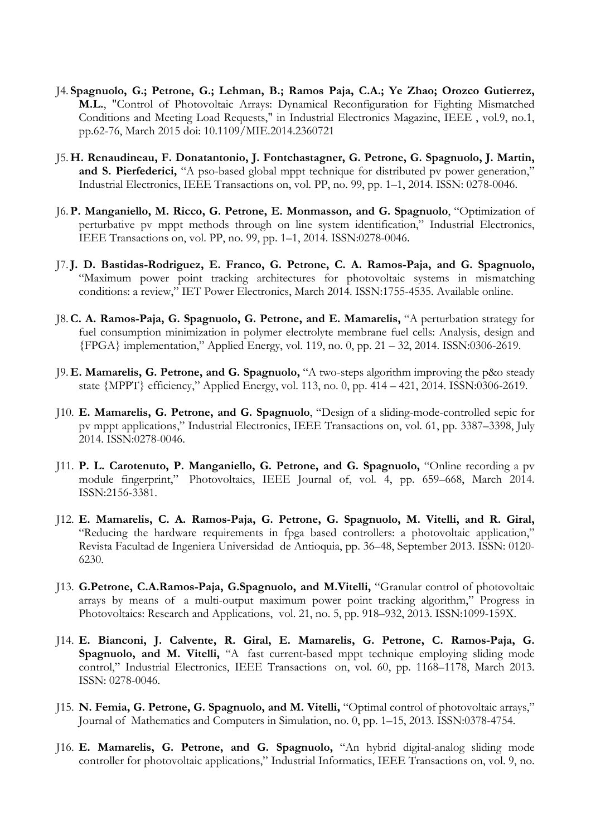- J4. **Spagnuolo, G.; Petrone, G.; Lehman, B.; Ramos Paja, C.A.; Ye Zhao; Orozco Gutierrez, M.L.**, "Control of Photovoltaic Arrays: Dynamical Reconfiguration for Fighting Mismatched Conditions and Meeting Load Requests," in Industrial Electronics Magazine, IEEE , vol.9, no.1, pp.62-76, March 2015 doi: 10.1109/MIE.2014.2360721
- J5. **H. Renaudineau, F. Donatantonio, J. Fontchastagner, G. Petrone, G. Spagnuolo, J. Martin, and S. Pierfederici,** "A pso-based global mppt technique for distributed pv power generation," Industrial Electronics, IEEE Transactions on, vol. PP, no. 99, pp. 1–1, 2014. ISSN: 0278-0046.
- J6. **P. Manganiello, M. Ricco, G. Petrone, E. Monmasson, and G. Spagnuolo**, "Optimization of perturbative pv mppt methods through on line system identification," Industrial Electronics, IEEE Transactions on, vol. PP, no. 99, pp. 1–1, 2014. ISSN:0278-0046.
- J7.**J. D. Bastidas-Rodriguez, E. Franco, G. Petrone, C. A. Ramos-Paja, and G. Spagnuolo,** "Maximum power point tracking architectures for photovoltaic systems in mismatching conditions: a review," IET Power Electronics, March 2014. ISSN:1755-4535. Available online.
- J8.**C. A. Ramos-Paja, G. Spagnuolo, G. Petrone, and E. Mamarelis,** "A perturbation strategy for fuel consumption minimization in polymer electrolyte membrane fuel cells: Analysis, design and {FPGA} implementation," Applied Energy, vol. 119, no. 0, pp. 21 – 32, 2014. ISSN:0306-2619.
- J9. **E. Mamarelis, G. Petrone, and G. Spagnuolo,** "A two-steps algorithm improving the p&o steady state {MPPT} efficiency," Applied Energy, vol. 113, no. 0, pp. 414 – 421, 2014. ISSN:0306-2619.
- J10. **E. Mamarelis, G. Petrone, and G. Spagnuolo**, "Design of a sliding-mode-controlled sepic for pv mppt applications," Industrial Electronics, IEEE Transactions on, vol. 61, pp. 3387–3398, July 2014. ISSN:0278-0046.
- J11. **P. L. Carotenuto, P. Manganiello, G. Petrone, and G. Spagnuolo,** "Online recording a pv module fingerprint," Photovoltaics, IEEE Journal of, vol. 4, pp. 659–668, March 2014. ISSN:2156-3381.
- J12. **E. Mamarelis, C. A. Ramos-Paja, G. Petrone, G. Spagnuolo, M. Vitelli, and R. Giral,** "Reducing the hardware requirements in fpga based controllers: a photovoltaic application," Revista Facultad de Ingeniera Universidad de Antioquia, pp. 36–48, September 2013. ISSN: 0120- 6230.
- J13. **G.Petrone, C.A.Ramos-Paja, G.Spagnuolo, and M.Vitelli,** "Granular control of photovoltaic arrays by means of a multi-output maximum power point tracking algorithm," Progress in Photovoltaics: Research and Applications, vol. 21, no. 5, pp. 918–932, 2013. ISSN:1099-159X.
- J14. **E. Bianconi, J. Calvente, R. Giral, E. Mamarelis, G. Petrone, C. Ramos-Paja, G. Spagnuolo, and M. Vitelli,** "A fast current-based mppt technique employing sliding mode control," Industrial Electronics, IEEE Transactions on, vol. 60, pp. 1168–1178, March 2013. ISSN: 0278-0046.
- J15. **N. Femia, G. Petrone, G. Spagnuolo, and M. Vitelli,** "Optimal control of photovoltaic arrays," Journal of Mathematics and Computers in Simulation, no. 0, pp. 1–15, 2013. ISSN:0378-4754.
- J16. **E. Mamarelis, G. Petrone, and G. Spagnuolo,** "An hybrid digital-analog sliding mode controller for photovoltaic applications," Industrial Informatics, IEEE Transactions on, vol. 9, no.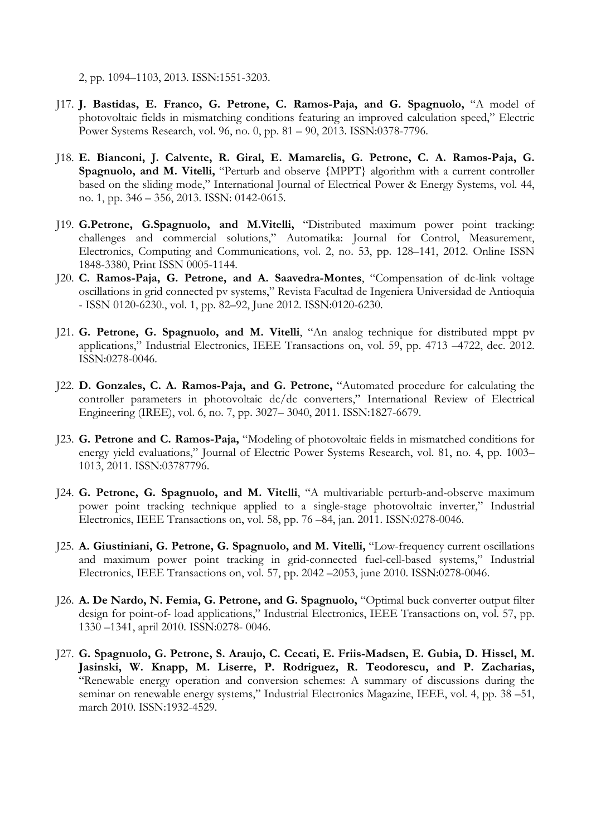2, pp. 1094–1103, 2013. ISSN:1551-3203.

- J17. **J. Bastidas, E. Franco, G. Petrone, C. Ramos-Paja, and G. Spagnuolo,** "A model of photovoltaic fields in mismatching conditions featuring an improved calculation speed," Electric Power Systems Research, vol. 96, no. 0, pp. 81 – 90, 2013. ISSN:0378-7796.
- J18. **E. Bianconi, J. Calvente, R. Giral, E. Mamarelis, G. Petrone, C. A. Ramos-Paja, G. Spagnuolo, and M. Vitelli,** "Perturb and observe {MPPT} algorithm with a current controller based on the sliding mode," International Journal of Electrical Power & Energy Systems, vol. 44, no. 1, pp. 346 – 356, 2013. ISSN: 0142-0615.
- J19. **G.Petrone, G.Spagnuolo, and M.Vitelli,** "Distributed maximum power point tracking: challenges and commercial solutions," Automatika: Journal for Control, Measurement, Electronics, Computing and Communications, vol. 2, no. 53, pp. 128–141, 2012. Online ISSN 1848-3380, Print ISSN 0005-1144.
- J20. **C. Ramos-Paja, G. Petrone, and A. Saavedra-Montes**, "Compensation of dc-link voltage oscillations in grid connected pv systems," Revista Facultad de Ingeniera Universidad de Antioquia - ISSN 0120-6230., vol. 1, pp. 82–92, June 2012. ISSN:0120-6230.
- J21. **G. Petrone, G. Spagnuolo, and M. Vitelli**, "An analog technique for distributed mppt pv applications," Industrial Electronics, IEEE Transactions on, vol. 59, pp. 4713 –4722, dec. 2012. ISSN:0278-0046.
- J22. **D. Gonzales, C. A. Ramos-Paja, and G. Petrone,** "Automated procedure for calculating the controller parameters in photovoltaic dc/dc converters," International Review of Electrical Engineering (IREE), vol. 6, no. 7, pp. 3027– 3040, 2011. ISSN:1827-6679.
- J23. **G. Petrone and C. Ramos-Paja,** "Modeling of photovoltaic fields in mismatched conditions for energy yield evaluations," Journal of Electric Power Systems Research, vol. 81, no. 4, pp. 1003– 1013, 2011. ISSN:03787796.
- J24. **G. Petrone, G. Spagnuolo, and M. Vitelli**, "A multivariable perturb-and-observe maximum power point tracking technique applied to a single-stage photovoltaic inverter," Industrial Electronics, IEEE Transactions on, vol. 58, pp. 76 –84, jan. 2011. ISSN:0278-0046.
- J25. **A. Giustiniani, G. Petrone, G. Spagnuolo, and M. Vitelli,** "Low-frequency current oscillations and maximum power point tracking in grid-connected fuel-cell-based systems," Industrial Electronics, IEEE Transactions on, vol. 57, pp. 2042 –2053, june 2010. ISSN:0278-0046.
- J26. **A. De Nardo, N. Femia, G. Petrone, and G. Spagnuolo,** "Optimal buck converter output filter design for point-of- load applications," Industrial Electronics, IEEE Transactions on, vol. 57, pp. 1330 –1341, april 2010. ISSN:0278- 0046.
- J27. **G. Spagnuolo, G. Petrone, S. Araujo, C. Cecati, E. Friis-Madsen, E. Gubia, D. Hissel, M. Jasinski, W. Knapp, M. Liserre, P. Rodriguez, R. Teodorescu, and P. Zacharias,** "Renewable energy operation and conversion schemes: A summary of discussions during the seminar on renewable energy systems," Industrial Electronics Magazine, IEEE, vol. 4, pp. 38 –51, march 2010. ISSN:1932-4529.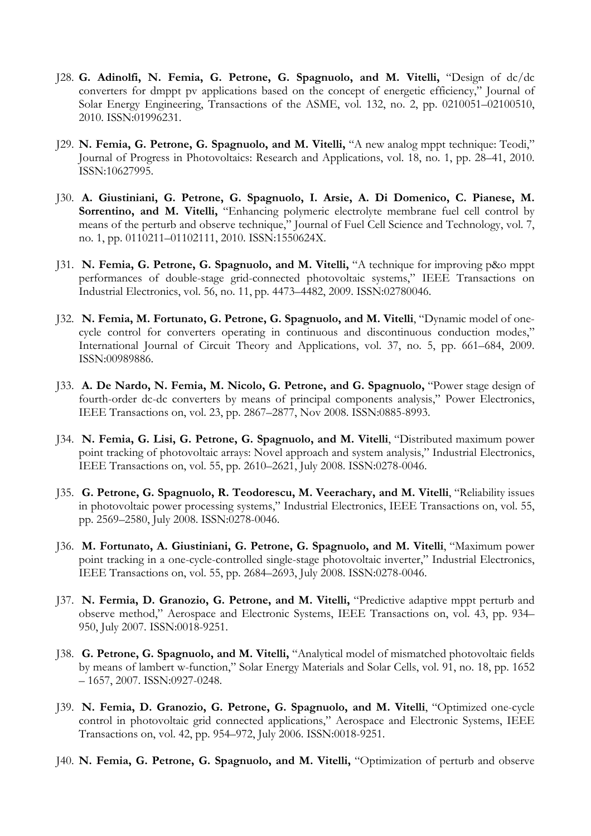- J28. **G. Adinolfi, N. Femia, G. Petrone, G. Spagnuolo, and M. Vitelli,** "Design of dc/dc converters for dmppt pv applications based on the concept of energetic efficiency," Journal of Solar Energy Engineering, Transactions of the ASME, vol. 132, no. 2, pp. 0210051–02100510, 2010. ISSN:01996231.
- J29. **N. Femia, G. Petrone, G. Spagnuolo, and M. Vitelli,** "A new analog mppt technique: Teodi," Journal of Progress in Photovoltaics: Research and Applications, vol. 18, no. 1, pp. 28–41, 2010. ISSN:10627995.
- J30. **A. Giustiniani, G. Petrone, G. Spagnuolo, I. Arsie, A. Di Domenico, C. Pianese, M.**  Sorrentino, and M. Vitelli, "Enhancing polymeric electrolyte membrane fuel cell control by means of the perturb and observe technique," Journal of Fuel Cell Science and Technology, vol. 7, no. 1, pp. 0110211–01102111, 2010. ISSN:1550624X.
- J31. **N. Femia, G. Petrone, G. Spagnuolo, and M. Vitelli,** "A technique for improving p&o mppt performances of double-stage grid-connected photovoltaic systems," IEEE Transactions on Industrial Electronics, vol. 56, no. 11, pp. 4473–4482, 2009. ISSN:02780046.
- J32. **N. Femia, M. Fortunato, G. Petrone, G. Spagnuolo, and M. Vitelli**, "Dynamic model of onecycle control for converters operating in continuous and discontinuous conduction modes," International Journal of Circuit Theory and Applications, vol. 37, no. 5, pp. 661–684, 2009. ISSN:00989886.
- J33. **A. De Nardo, N. Femia, M. Nicolo, G. Petrone, and G. Spagnuolo,** "Power stage design of fourth-order dc-dc converters by means of principal components analysis," Power Electronics, IEEE Transactions on, vol. 23, pp. 2867–2877, Nov 2008. ISSN:0885-8993.
- J34. **N. Femia, G. Lisi, G. Petrone, G. Spagnuolo, and M. Vitelli**, "Distributed maximum power point tracking of photovoltaic arrays: Novel approach and system analysis," Industrial Electronics, IEEE Transactions on, vol. 55, pp. 2610–2621, July 2008. ISSN:0278-0046.
- J35. **G. Petrone, G. Spagnuolo, R. Teodorescu, M. Veerachary, and M. Vitelli**, "Reliability issues in photovoltaic power processing systems," Industrial Electronics, IEEE Transactions on, vol. 55, pp. 2569–2580, July 2008. ISSN:0278-0046.
- J36. **M. Fortunato, A. Giustiniani, G. Petrone, G. Spagnuolo, and M. Vitelli**, "Maximum power point tracking in a one-cycle-controlled single-stage photovoltaic inverter," Industrial Electronics, IEEE Transactions on, vol. 55, pp. 2684–2693, July 2008. ISSN:0278-0046.
- J37. **N. Fermia, D. Granozio, G. Petrone, and M. Vitelli,** "Predictive adaptive mppt perturb and observe method," Aerospace and Electronic Systems, IEEE Transactions on, vol. 43, pp. 934– 950, July 2007. ISSN:0018-9251.
- J38. **G. Petrone, G. Spagnuolo, and M. Vitelli,** "Analytical model of mismatched photovoltaic fields by means of lambert w-function," Solar Energy Materials and Solar Cells, vol. 91, no. 18, pp. 1652 – 1657, 2007. ISSN:0927-0248.
- J39. **N. Femia, D. Granozio, G. Petrone, G. Spagnuolo, and M. Vitelli**, "Optimized one-cycle control in photovoltaic grid connected applications," Aerospace and Electronic Systems, IEEE Transactions on, vol. 42, pp. 954–972, July 2006. ISSN:0018-9251.
- J40. **N. Femia, G. Petrone, G. Spagnuolo, and M. Vitelli,** "Optimization of perturb and observe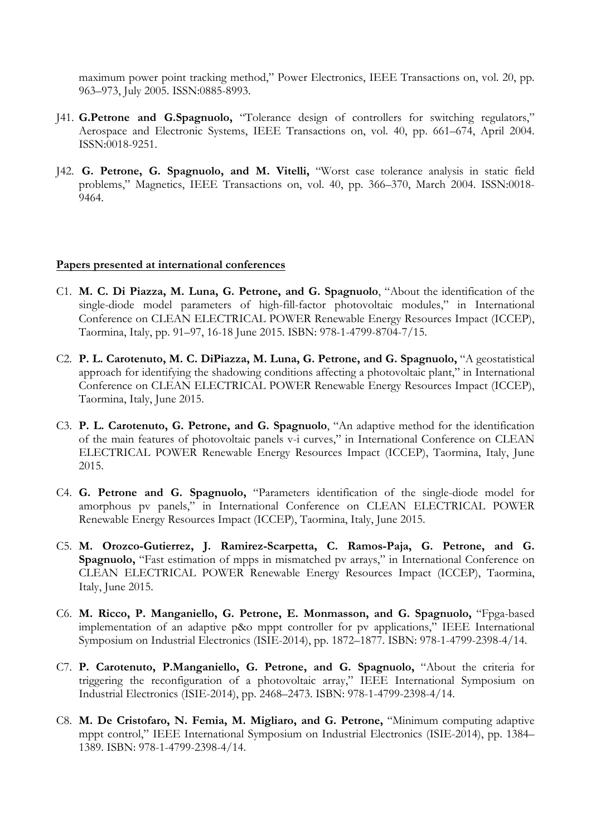maximum power point tracking method," Power Electronics, IEEE Transactions on, vol. 20, pp. 963–973, July 2005. ISSN:0885-8993.

- J41. **G.Petrone and G.Spagnuolo,** "Tolerance design of controllers for switching regulators," Aerospace and Electronic Systems, IEEE Transactions on, vol. 40, pp. 661–674, April 2004. ISSN:0018-9251.
- J42. **G. Petrone, G. Spagnuolo, and M. Vitelli,** "Worst case tolerance analysis in static field problems," Magnetics, IEEE Transactions on, vol. 40, pp. 366–370, March 2004. ISSN:0018- 9464.

## **Papers presented at international conferences**

- C1. **M. C. Di Piazza, M. Luna, G. Petrone, and G. Spagnuolo**, "About the identification of the single-diode model parameters of high-fill-factor photovoltaic modules," in International Conference on CLEAN ELECTRICAL POWER Renewable Energy Resources Impact (ICCEP), Taormina, Italy, pp. 91–97, 16-18 June 2015. ISBN: 978-1-4799-8704-7/15.
- C2. **P. L. Carotenuto, M. C. DiPiazza, M. Luna, G. Petrone, and G. Spagnuolo,** "A geostatistical approach for identifying the shadowing conditions affecting a photovoltaic plant," in International Conference on CLEAN ELECTRICAL POWER Renewable Energy Resources Impact (ICCEP), Taormina, Italy, June 2015.
- C3. **P. L. Carotenuto, G. Petrone, and G. Spagnuolo**, "An adaptive method for the identification of the main features of photovoltaic panels v-i curves," in International Conference on CLEAN ELECTRICAL POWER Renewable Energy Resources Impact (ICCEP), Taormina, Italy, June 2015.
- C4. **G. Petrone and G. Spagnuolo,** "Parameters identification of the single-diode model for amorphous pv panels," in International Conference on CLEAN ELECTRICAL POWER Renewable Energy Resources Impact (ICCEP), Taormina, Italy, June 2015.
- C5. **M. Orozco-Gutierrez, J. Ramirez-Scarpetta, C. Ramos-Paja, G. Petrone, and G. Spagnuolo,** "Fast estimation of mpps in mismatched pv arrays," in International Conference on CLEAN ELECTRICAL POWER Renewable Energy Resources Impact (ICCEP), Taormina, Italy, June 2015.
- C6. **M. Ricco, P. Manganiello, G. Petrone, E. Monmasson, and G. Spagnuolo,** "Fpga-based implementation of an adaptive p&o mppt controller for pv applications," IEEE International Symposium on Industrial Electronics (ISIE-2014), pp. 1872–1877. ISBN: 978-1-4799-2398-4/14.
- C7. **P. Carotenuto, P.Manganiello, G. Petrone, and G. Spagnuolo,** "About the criteria for triggering the reconfiguration of a photovoltaic array," IEEE International Symposium on Industrial Electronics (ISIE-2014), pp. 2468–2473. ISBN: 978-1-4799-2398-4/14.
- C8. **M. De Cristofaro, N. Femia, M. Migliaro, and G. Petrone,** "Minimum computing adaptive mppt control," IEEE International Symposium on Industrial Electronics (ISIE-2014), pp. 1384– 1389. ISBN: 978-1-4799-2398-4/14.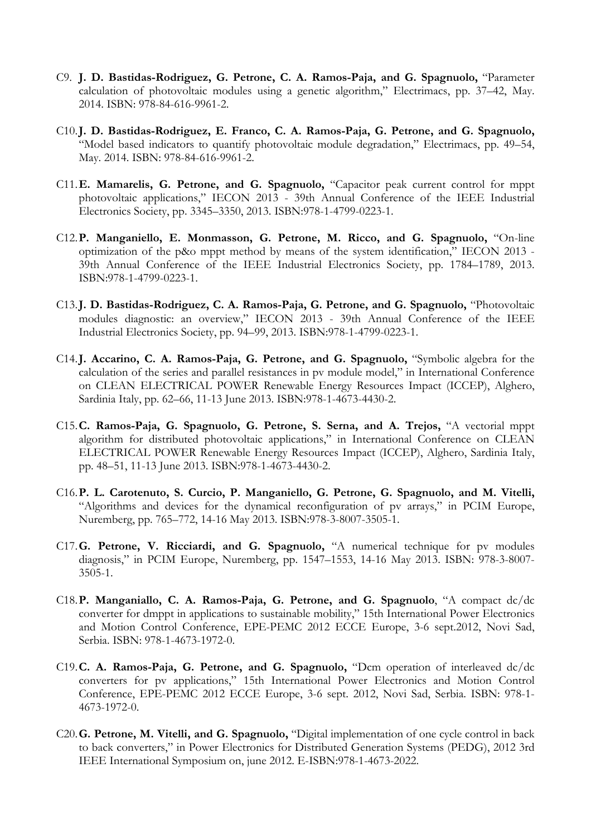- C9. **J. D. Bastidas-Rodriguez, G. Petrone, C. A. Ramos-Paja, and G. Spagnuolo,** "Parameter calculation of photovoltaic modules using a genetic algorithm," Electrimacs, pp. 37–42, May. 2014. ISBN: 978-84-616-9961-2.
- C10.**J. D. Bastidas-Rodriguez, E. Franco, C. A. Ramos-Paja, G. Petrone, and G. Spagnuolo,** "Model based indicators to quantify photovoltaic module degradation," Electrimacs, pp. 49–54, May. 2014. ISBN: 978-84-616-9961-2.
- C11.**E. Mamarelis, G. Petrone, and G. Spagnuolo,** "Capacitor peak current control for mppt photovoltaic applications," IECON 2013 - 39th Annual Conference of the IEEE Industrial Electronics Society, pp. 3345–3350, 2013. ISBN:978-1-4799-0223-1.
- C12.**P. Manganiello, E. Monmasson, G. Petrone, M. Ricco, and G. Spagnuolo,** "On-line optimization of the p&o mppt method by means of the system identification," IECON 2013 - 39th Annual Conference of the IEEE Industrial Electronics Society, pp. 1784–1789, 2013. ISBN:978-1-4799-0223-1.
- C13.**J. D. Bastidas-Rodriguez, C. A. Ramos-Paja, G. Petrone, and G. Spagnuolo,** "Photovoltaic modules diagnostic: an overview," IECON 2013 - 39th Annual Conference of the IEEE Industrial Electronics Society, pp. 94–99, 2013. ISBN:978-1-4799-0223-1.
- C14.**J. Accarino, C. A. Ramos-Paja, G. Petrone, and G. Spagnuolo,** "Symbolic algebra for the calculation of the series and parallel resistances in pv module model," in International Conference on CLEAN ELECTRICAL POWER Renewable Energy Resources Impact (ICCEP), Alghero, Sardinia Italy, pp. 62–66, 11-13 June 2013. ISBN:978-1-4673-4430-2.
- C15.**C. Ramos-Paja, G. Spagnuolo, G. Petrone, S. Serna, and A. Trejos,** "A vectorial mppt algorithm for distributed photovoltaic applications," in International Conference on CLEAN ELECTRICAL POWER Renewable Energy Resources Impact (ICCEP), Alghero, Sardinia Italy, pp. 48–51, 11-13 June 2013. ISBN:978-1-4673-4430-2.
- C16.**P. L. Carotenuto, S. Curcio, P. Manganiello, G. Petrone, G. Spagnuolo, and M. Vitelli,** "Algorithms and devices for the dynamical reconfiguration of pv arrays," in PCIM Europe, Nuremberg, pp. 765–772, 14-16 May 2013. ISBN:978-3-8007-3505-1.
- C17.**G. Petrone, V. Ricciardi, and G. Spagnuolo,** "A numerical technique for pv modules diagnosis," in PCIM Europe, Nuremberg, pp. 1547–1553, 14-16 May 2013. ISBN: 978-3-8007- 3505-1.
- C18.**P. Manganiallo, C. A. Ramos-Paja, G. Petrone, and G. Spagnuolo**, "A compact dc/dc converter for dmppt in applications to sustainable mobility," 15th International Power Electronics and Motion Control Conference, EPE-PEMC 2012 ECCE Europe, 3-6 sept.2012, Novi Sad, Serbia. ISBN: 978-1-4673-1972-0.
- C19.**C. A. Ramos-Paja, G. Petrone, and G. Spagnuolo,** "Dcm operation of interleaved dc/dc converters for pv applications," 15th International Power Electronics and Motion Control Conference, EPE-PEMC 2012 ECCE Europe, 3-6 sept. 2012, Novi Sad, Serbia. ISBN: 978-1- 4673-1972-0.
- C20.**G. Petrone, M. Vitelli, and G. Spagnuolo,** "Digital implementation of one cycle control in back to back converters," in Power Electronics for Distributed Generation Systems (PEDG), 2012 3rd IEEE International Symposium on, june 2012. E-ISBN:978-1-4673-2022.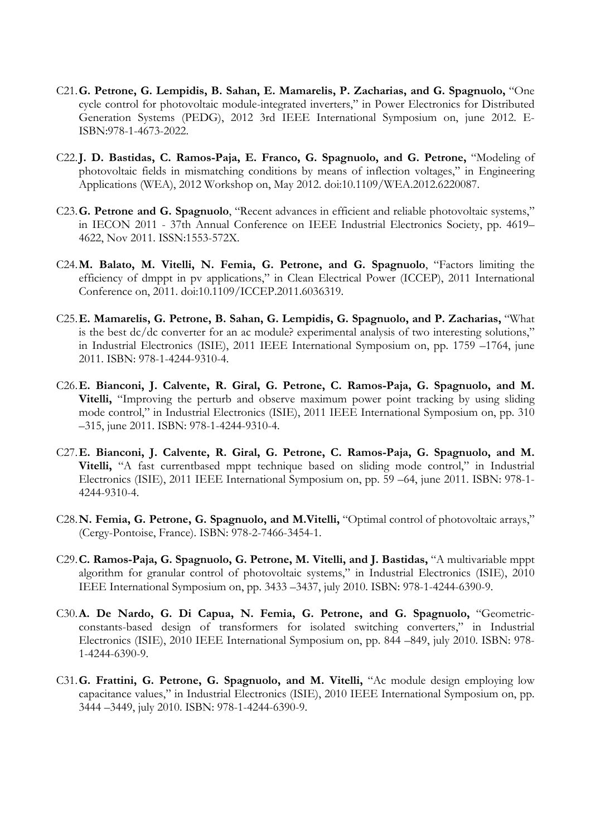- C21.**G. Petrone, G. Lempidis, B. Sahan, E. Mamarelis, P. Zacharias, and G. Spagnuolo,** "One cycle control for photovoltaic module-integrated inverters," in Power Electronics for Distributed Generation Systems (PEDG), 2012 3rd IEEE International Symposium on, june 2012. E-ISBN:978-1-4673-2022.
- C22.**J. D. Bastidas, C. Ramos-Paja, E. Franco, G. Spagnuolo, and G. Petrone,** "Modeling of photovoltaic fields in mismatching conditions by means of inflection voltages," in Engineering Applications (WEA), 2012 Workshop on, May 2012. doi:10.1109/WEA.2012.6220087.
- C23.**G. Petrone and G. Spagnuolo**, "Recent advances in efficient and reliable photovoltaic systems," in IECON 2011 - 37th Annual Conference on IEEE Industrial Electronics Society, pp. 4619– 4622, Nov 2011. ISSN:1553-572X.
- C24.**M. Balato, M. Vitelli, N. Femia, G. Petrone, and G. Spagnuolo**, "Factors limiting the efficiency of dmppt in pv applications," in Clean Electrical Power (ICCEP), 2011 International Conference on, 2011. doi:10.1109/ICCEP.2011.6036319.
- C25.**E. Mamarelis, G. Petrone, B. Sahan, G. Lempidis, G. Spagnuolo, and P. Zacharias,** "What is the best dc/dc converter for an ac module? experimental analysis of two interesting solutions," in Industrial Electronics (ISIE), 2011 IEEE International Symposium on, pp. 1759 –1764, june 2011. ISBN: 978-1-4244-9310-4.
- C26.**E. Bianconi, J. Calvente, R. Giral, G. Petrone, C. Ramos-Paja, G. Spagnuolo, and M. Vitelli,** "Improving the perturb and observe maximum power point tracking by using sliding mode control," in Industrial Electronics (ISIE), 2011 IEEE International Symposium on, pp. 310 –315, june 2011. ISBN: 978-1-4244-9310-4.
- C27.**E. Bianconi, J. Calvente, R. Giral, G. Petrone, C. Ramos-Paja, G. Spagnuolo, and M. Vitelli,** "A fast currentbased mppt technique based on sliding mode control," in Industrial Electronics (ISIE), 2011 IEEE International Symposium on, pp. 59 –64, june 2011. ISBN: 978-1- 4244-9310-4.
- C28.**N. Femia, G. Petrone, G. Spagnuolo, and M.Vitelli,** "Optimal control of photovoltaic arrays," (Cergy-Pontoise, France). ISBN: 978-2-7466-3454-1.
- C29.**C. Ramos-Paja, G. Spagnuolo, G. Petrone, M. Vitelli, and J. Bastidas,** "A multivariable mppt algorithm for granular control of photovoltaic systems," in Industrial Electronics (ISIE), 2010 IEEE International Symposium on, pp. 3433 –3437, july 2010. ISBN: 978-1-4244-6390-9.
- C30.**A. De Nardo, G. Di Capua, N. Femia, G. Petrone, and G. Spagnuolo,** "Geometricconstants-based design of transformers for isolated switching converters," in Industrial Electronics (ISIE), 2010 IEEE International Symposium on, pp. 844 –849, july 2010. ISBN: 978- 1-4244-6390-9.
- C31.**G. Frattini, G. Petrone, G. Spagnuolo, and M. Vitelli,** "Ac module design employing low capacitance values," in Industrial Electronics (ISIE), 2010 IEEE International Symposium on, pp. 3444 –3449, july 2010. ISBN: 978-1-4244-6390-9.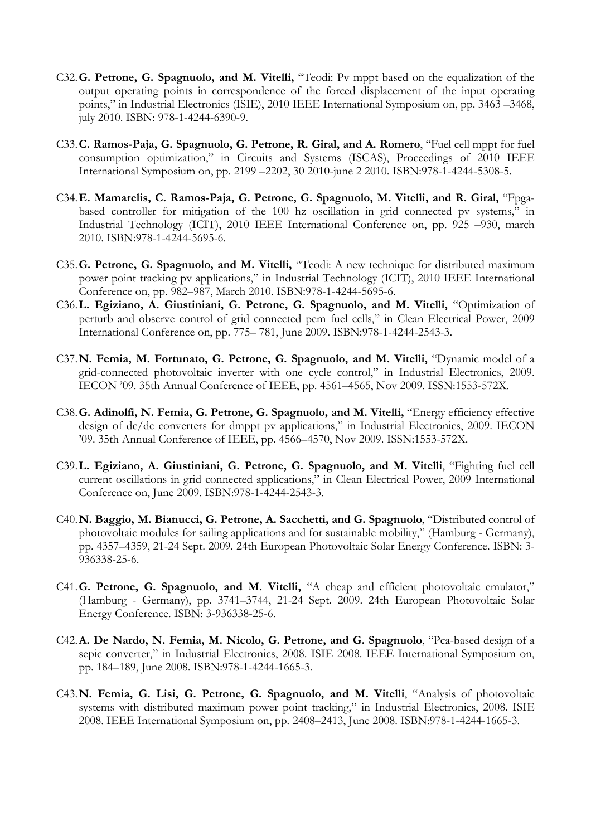- C32.**G. Petrone, G. Spagnuolo, and M. Vitelli,** "Teodi: Pv mppt based on the equalization of the output operating points in correspondence of the forced displacement of the input operating points," in Industrial Electronics (ISIE), 2010 IEEE International Symposium on, pp. 3463 –3468, july 2010. ISBN: 978-1-4244-6390-9.
- C33.**C. Ramos-Paja, G. Spagnuolo, G. Petrone, R. Giral, and A. Romero**, "Fuel cell mppt for fuel consumption optimization," in Circuits and Systems (ISCAS), Proceedings of 2010 IEEE International Symposium on, pp. 2199 –2202, 30 2010-june 2 2010. ISBN:978-1-4244-5308-5.
- C34.**E. Mamarelis, C. Ramos-Paja, G. Petrone, G. Spagnuolo, M. Vitelli, and R. Giral,** "Fpgabased controller for mitigation of the 100 hz oscillation in grid connected pv systems," in Industrial Technology (ICIT), 2010 IEEE International Conference on, pp. 925 –930, march 2010. ISBN:978-1-4244-5695-6.
- C35.**G. Petrone, G. Spagnuolo, and M. Vitelli,** "Teodi: A new technique for distributed maximum power point tracking pv applications," in Industrial Technology (ICIT), 2010 IEEE International Conference on, pp. 982–987, March 2010. ISBN:978-1-4244-5695-6.
- C36.**L. Egiziano, A. Giustiniani, G. Petrone, G. Spagnuolo, and M. Vitelli,** "Optimization of perturb and observe control of grid connected pem fuel cells," in Clean Electrical Power, 2009 International Conference on, pp. 775– 781, June 2009. ISBN:978-1-4244-2543-3.
- C37.**N. Femia, M. Fortunato, G. Petrone, G. Spagnuolo, and M. Vitelli,** "Dynamic model of a grid-connected photovoltaic inverter with one cycle control," in Industrial Electronics, 2009. IECON '09. 35th Annual Conference of IEEE, pp. 4561–4565, Nov 2009. ISSN:1553-572X.
- C38.**G. Adinolfi, N. Femia, G. Petrone, G. Spagnuolo, and M. Vitelli,** "Energy efficiency effective design of dc/dc converters for dmppt pv applications," in Industrial Electronics, 2009. IECON '09. 35th Annual Conference of IEEE, pp. 4566–4570, Nov 2009. ISSN:1553-572X.
- C39.**L. Egiziano, A. Giustiniani, G. Petrone, G. Spagnuolo, and M. Vitelli**, "Fighting fuel cell current oscillations in grid connected applications," in Clean Electrical Power, 2009 International Conference on, June 2009. ISBN:978-1-4244-2543-3.
- C40.**N. Baggio, M. Bianucci, G. Petrone, A. Sacchetti, and G. Spagnuolo**, "Distributed control of photovoltaic modules for sailing applications and for sustainable mobility," (Hamburg - Germany), pp. 4357–4359, 21-24 Sept. 2009. 24th European Photovoltaic Solar Energy Conference. ISBN: 3- 936338-25-6.
- C41.**G. Petrone, G. Spagnuolo, and M. Vitelli,** "A cheap and efficient photovoltaic emulator," (Hamburg - Germany), pp. 3741–3744, 21-24 Sept. 2009. 24th European Photovoltaic Solar Energy Conference. ISBN: 3-936338-25-6.
- C42.**A. De Nardo, N. Femia, M. Nicolo, G. Petrone, and G. Spagnuolo**, "Pca-based design of a sepic converter," in Industrial Electronics, 2008. ISIE 2008. IEEE International Symposium on, pp. 184–189, June 2008. ISBN:978-1-4244-1665-3.
- C43.**N. Femia, G. Lisi, G. Petrone, G. Spagnuolo, and M. Vitelli**, "Analysis of photovoltaic systems with distributed maximum power point tracking," in Industrial Electronics, 2008. ISIE 2008. IEEE International Symposium on, pp. 2408–2413, June 2008. ISBN:978-1-4244-1665-3.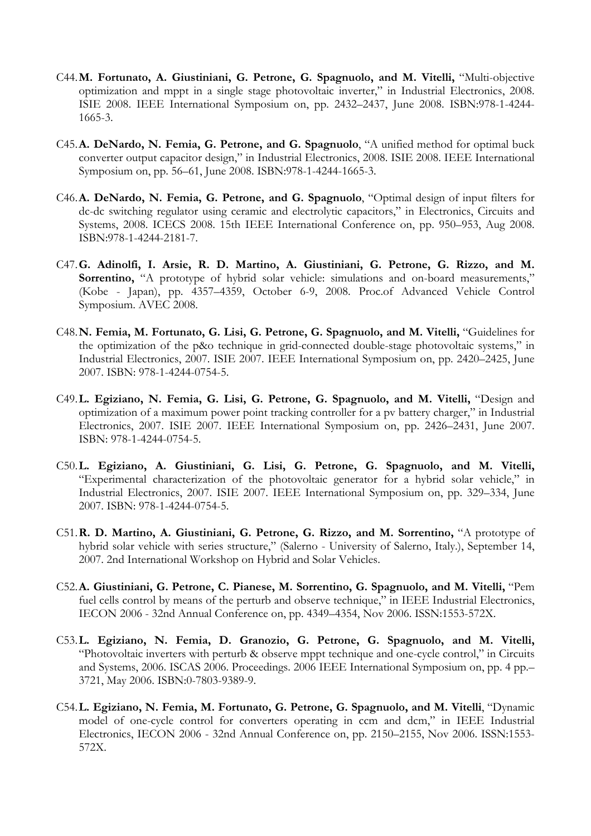- C44.**M. Fortunato, A. Giustiniani, G. Petrone, G. Spagnuolo, and M. Vitelli,** "Multi-objective optimization and mppt in a single stage photovoltaic inverter," in Industrial Electronics, 2008. ISIE 2008. IEEE International Symposium on, pp. 2432–2437, June 2008. ISBN:978-1-4244- 1665-3.
- C45.**A. DeNardo, N. Femia, G. Petrone, and G. Spagnuolo**, "A unified method for optimal buck converter output capacitor design," in Industrial Electronics, 2008. ISIE 2008. IEEE International Symposium on, pp. 56–61, June 2008. ISBN:978-1-4244-1665-3.
- C46.**A. DeNardo, N. Femia, G. Petrone, and G. Spagnuolo**, "Optimal design of input filters for dc-dc switching regulator using ceramic and electrolytic capacitors," in Electronics, Circuits and Systems, 2008. ICECS 2008. 15th IEEE International Conference on, pp. 950–953, Aug 2008. ISBN:978-1-4244-2181-7.
- C47.**G. Adinolfi, I. Arsie, R. D. Martino, A. Giustiniani, G. Petrone, G. Rizzo, and M.**  Sorrentino, "A prototype of hybrid solar vehicle: simulations and on-board measurements," (Kobe - Japan), pp. 4357–4359, October 6-9, 2008. Proc.of Advanced Vehicle Control Symposium. AVEC 2008.
- C48.**N. Femia, M. Fortunato, G. Lisi, G. Petrone, G. Spagnuolo, and M. Vitelli,** "Guidelines for the optimization of the p&o technique in grid-connected double-stage photovoltaic systems," in Industrial Electronics, 2007. ISIE 2007. IEEE International Symposium on, pp. 2420–2425, June 2007. ISBN: 978-1-4244-0754-5.
- C49.**L. Egiziano, N. Femia, G. Lisi, G. Petrone, G. Spagnuolo, and M. Vitelli,** "Design and optimization of a maximum power point tracking controller for a pv battery charger," in Industrial Electronics, 2007. ISIE 2007. IEEE International Symposium on, pp. 2426–2431, June 2007. ISBN: 978-1-4244-0754-5.
- C50.**L. Egiziano, A. Giustiniani, G. Lisi, G. Petrone, G. Spagnuolo, and M. Vitelli,** "Experimental characterization of the photovoltaic generator for a hybrid solar vehicle," in Industrial Electronics, 2007. ISIE 2007. IEEE International Symposium on, pp. 329–334, June 2007. ISBN: 978-1-4244-0754-5.
- C51.**R. D. Martino, A. Giustiniani, G. Petrone, G. Rizzo, and M. Sorrentino,** "A prototype of hybrid solar vehicle with series structure," (Salerno - University of Salerno, Italy.), September 14, 2007. 2nd International Workshop on Hybrid and Solar Vehicles.
- C52.**A. Giustiniani, G. Petrone, C. Pianese, M. Sorrentino, G. Spagnuolo, and M. Vitelli,** "Pem fuel cells control by means of the perturb and observe technique," in IEEE Industrial Electronics, IECON 2006 - 32nd Annual Conference on, pp. 4349–4354, Nov 2006. ISSN:1553-572X.
- C53.**L. Egiziano, N. Femia, D. Granozio, G. Petrone, G. Spagnuolo, and M. Vitelli,** "Photovoltaic inverters with perturb & observe mppt technique and one-cycle control," in Circuits and Systems, 2006. ISCAS 2006. Proceedings. 2006 IEEE International Symposium on, pp. 4 pp.– 3721, May 2006. ISBN:0-7803-9389-9.
- C54.**L. Egiziano, N. Femia, M. Fortunato, G. Petrone, G. Spagnuolo, and M. Vitelli**, "Dynamic model of one-cycle control for converters operating in ccm and dcm," in IEEE Industrial Electronics, IECON 2006 - 32nd Annual Conference on, pp. 2150–2155, Nov 2006. ISSN:1553- 572X.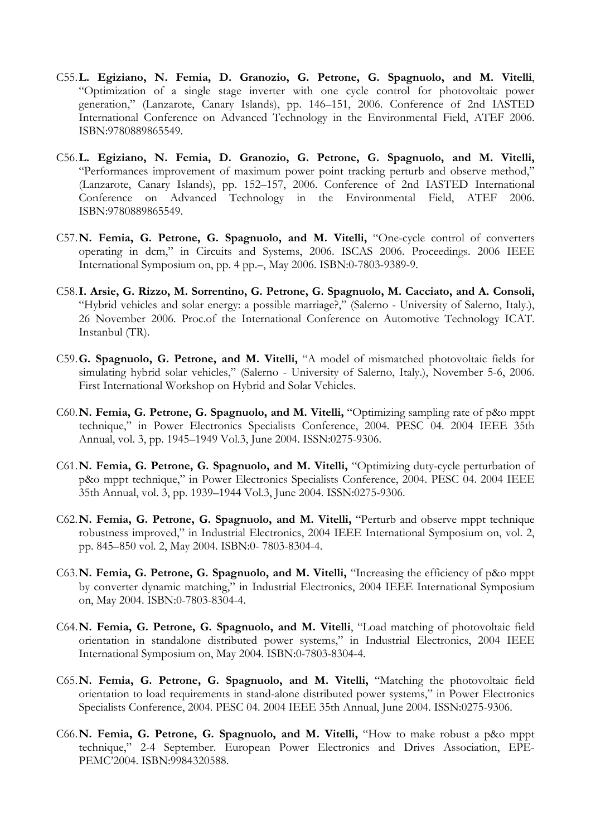- C55.**L. Egiziano, N. Femia, D. Granozio, G. Petrone, G. Spagnuolo, and M. Vitelli**, "Optimization of a single stage inverter with one cycle control for photovoltaic power generation," (Lanzarote, Canary Islands), pp. 146–151, 2006. Conference of 2nd IASTED International Conference on Advanced Technology in the Environmental Field, ATEF 2006. ISBN:9780889865549.
- C56.**L. Egiziano, N. Femia, D. Granozio, G. Petrone, G. Spagnuolo, and M. Vitelli,** "Performances improvement of maximum power point tracking perturb and observe method," (Lanzarote, Canary Islands), pp. 152–157, 2006. Conference of 2nd IASTED International Conference on Advanced Technology in the Environmental Field, ATEF 2006. ISBN:9780889865549.
- C57.**N. Femia, G. Petrone, G. Spagnuolo, and M. Vitelli,** "One-cycle control of converters operating in dcm," in Circuits and Systems, 2006. ISCAS 2006. Proceedings. 2006 IEEE International Symposium on, pp. 4 pp.–, May 2006. ISBN:0-7803-9389-9.
- C58.**I. Arsie, G. Rizzo, M. Sorrentino, G. Petrone, G. Spagnuolo, M. Cacciato, and A. Consoli,** "Hybrid vehicles and solar energy: a possible marriage?," (Salerno - University of Salerno, Italy.), 26 November 2006. Proc.of the International Conference on Automotive Technology ICAT. Instanbul (TR).
- C59.**G. Spagnuolo, G. Petrone, and M. Vitelli,** "A model of mismatched photovoltaic fields for simulating hybrid solar vehicles," (Salerno - University of Salerno, Italy.), November 5-6, 2006. First International Workshop on Hybrid and Solar Vehicles.
- C60.**N. Femia, G. Petrone, G. Spagnuolo, and M. Vitelli,** "Optimizing sampling rate of p&o mppt technique," in Power Electronics Specialists Conference, 2004. PESC 04. 2004 IEEE 35th Annual, vol. 3, pp. 1945–1949 Vol.3, June 2004. ISSN:0275-9306.
- C61.**N. Femia, G. Petrone, G. Spagnuolo, and M. Vitelli,** "Optimizing duty-cycle perturbation of p&o mppt technique," in Power Electronics Specialists Conference, 2004. PESC 04. 2004 IEEE 35th Annual, vol. 3, pp. 1939–1944 Vol.3, June 2004. ISSN:0275-9306.
- C62.**N. Femia, G. Petrone, G. Spagnuolo, and M. Vitelli,** "Perturb and observe mppt technique robustness improved," in Industrial Electronics, 2004 IEEE International Symposium on, vol. 2, pp. 845–850 vol. 2, May 2004. ISBN:0- 7803-8304-4.
- C63.**N. Femia, G. Petrone, G. Spagnuolo, and M. Vitelli,** "Increasing the efficiency of p&o mppt by converter dynamic matching," in Industrial Electronics, 2004 IEEE International Symposium on, May 2004. ISBN:0-7803-8304-4.
- C64.**N. Femia, G. Petrone, G. Spagnuolo, and M. Vitelli**, "Load matching of photovoltaic field orientation in standalone distributed power systems," in Industrial Electronics, 2004 IEEE International Symposium on, May 2004. ISBN:0-7803-8304-4.
- C65.**N. Femia, G. Petrone, G. Spagnuolo, and M. Vitelli,** "Matching the photovoltaic field orientation to load requirements in stand-alone distributed power systems," in Power Electronics Specialists Conference, 2004. PESC 04. 2004 IEEE 35th Annual, June 2004. ISSN:0275-9306.
- C66.**N. Femia, G. Petrone, G. Spagnuolo, and M. Vitelli,** "How to make robust a p&o mppt technique," 2-4 September. European Power Electronics and Drives Association, EPE-PEMC'2004. ISBN:9984320588.